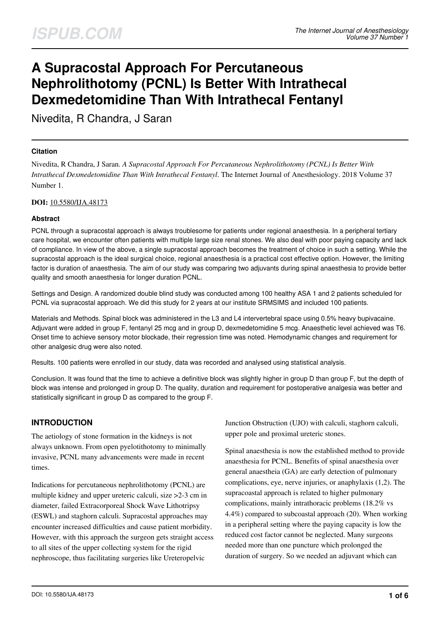# **A Supracostal Approach For Percutaneous Nephrolithotomy (PCNL) Is Better With Intrathecal Dexmedetomidine Than With Intrathecal Fentanyl**

Nivedita, R Chandra, J Saran

## **Citation**

Nivedita, R Chandra, J Saran. *A Supracostal Approach For Percutaneous Nephrolithotomy (PCNL) Is Better With Intrathecal Dexmedetomidine Than With Intrathecal Fentanyl*. The Internet Journal of Anesthesiology. 2018 Volume 37 Number 1.

## **DOI:** [10.5580/IJA.48173](https://ispub.com/doi/10.5580/IJA.48173)

## **Abstract**

PCNL through a supracostal approach is always troublesome for patients under regional anaesthesia. In a peripheral tertiary care hospital, we encounter often patients with multiple large size renal stones. We also deal with poor paying capacity and lack of compliance. In view of the above, a single supracostal approach becomes the treatment of choice in such a setting. While the supracostal approach is the ideal surgical choice, regional anaesthesia is a practical cost effective option. However, the limiting factor is duration of anaesthesia. The aim of our study was comparing two adjuvants during spinal anaesthesia to provide better quality and smooth anaesthesia for longer duration PCNL.

Settings and Design. A randomized double blind study was conducted among 100 healthy ASA 1 and 2 patients scheduled for PCNL via supracostal approach. We did this study for 2 years at our institute SRMSIMS and included 100 patients.

Materials and Methods. Spinal block was administered in the L3 and L4 intervertebral space using 0.5% heavy bupivacaine. Adjuvant were added in group F, fentanyl 25 mcg and in group D, dexmedetomidine 5 mcg. Anaesthetic level achieved was T6. Onset time to achieve sensory motor blockade, their regression time was noted. Hemodynamic changes and requirement for other analgesic drug were also noted.

Results. 100 patients were enrolled in our study, data was recorded and analysed using statistical analysis.

Conclusion. It was found that the time to achieve a definitive block was slightly higher in group D than group F, but the depth of block was intense and prolonged in group D. The quality, duration and requirement for postoperative analgesia was better and statistically significant in group D as compared to the group F.

# **INTRODUCTION**

The aetiology of stone formation in the kidneys is not always unknown. From open pyelotithotomy to minimally invasive, PCNL many advancements were made in recent times.

Indications for percutaneous nephrolithotomy (PCNL) are multiple kidney and upper ureteric calculi, size >2-3 cm in diameter, failed Extracorporeal Shock Wave Lithotripsy (ESWL) and staghorn calculi. Supracostal approaches may encounter increased difficulties and cause patient morbidity. However, with this approach the surgeon gets straight access to all sites of the upper collecting system for the rigid nephroscope, thus facilitating surgeries like Ureteropelvic

Junction Obstruction (UJO) with calculi, staghorn calculi, upper pole and proximal ureteric stones.

Spinal anaesthesia is now the established method to provide anaesthesia for PCNL. Benefits of spinal anaesthesia over general anaestheia (GA) are early detection of pulmonary complications, eye, nerve injuries, or anaphylaxis (1,2). The supracoastal approach is related to higher pulmonary complications, mainly intrathoracic problems (18.2% vs 4.4%) compared to subcoastal approach (20). When working in a peripheral setting where the paying capacity is low the reduced cost factor cannot be neglected. Many surgeons needed more than one puncture which prolonged the duration of surgery. So we needed an adjuvant which can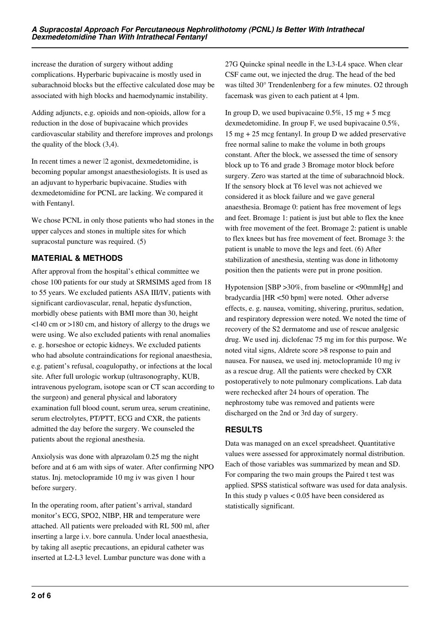increase the duration of surgery without adding complications. Hyperbaric bupivacaine is mostly used in subarachnoid blocks but the effective calculated dose may be associated with high blocks and haemodynamic instability.

Adding adjuncts, e.g. opioids and non-opioids, allow for a reduction in the dose of bupivacaine which provides cardiovascular stability and therefore improves and prolongs the quality of the block (3,4).

In recent times a newer  $\mathbb{I}2$  agonist, dexmedetomidine, is becoming popular amongst anaesthesiologists. It is used as an adjuvant to hyperbaric bupivacaine. Studies with dexmedetomidine for PCNL are lacking. We compared it with Fentanyl.

We chose PCNL in only those patients who had stones in the upper calyces and stones in multiple sites for which supracostal puncture was required. (5)

# **MATERIAL & METHODS**

After approval from the hospital's ethical committee we chose 100 patients for our study at SRMSIMS aged from 18 to 55 years. We excluded patients ASA III/IV, patients with significant cardiovascular, renal, hepatic dysfunction, morbidly obese patients with BMI more than 30, height <140 cm or >180 cm, and history of allergy to the drugs we were using. We also excluded patients with renal anomalies e. g. horseshoe or ectopic kidneys. We excluded patients who had absolute contraindications for regional anaesthesia, e.g. patient's refusal, coagulopathy, or infections at the local site. After full urologic workup (ultrasonography, KUB, intravenous pyelogram, isotope scan or CT scan according to the surgeon) and general physical and laboratory examination full blood count, serum urea, serum creatinine, serum electrolytes, PT/PTT, ECG and CXR, the patients admitted the day before the surgery. We counseled the patients about the regional anesthesia.

Anxiolysis was done with alprazolam 0.25 mg the night before and at 6 am with sips of water. After confirming NPO status. Inj. metoclopramide 10 mg iv was given 1 hour before surgery.

In the operating room, after patient's arrival, standard monitor's ECG, SPO2, NIBP, HR and temperature were attached. All patients were preloaded with RL 500 ml, after inserting a large i.v. bore cannula. Under local anaesthesia, by taking all aseptic precautions, an epidural catheter was inserted at L2-L3 level. Lumbar puncture was done with a

27G Quincke spinal needle in the L3-L4 space. When clear CSF came out, we injected the drug. The head of the bed was tilted 30° Trendenlenberg for a few minutes. O2 through facemask was given to each patient at 4 lpm.

In group D, we used bupivacaine  $0.5\%$ , 15 mg + 5 mcg dexmedetomidine. In group F, we used bupivacaine 0.5%, 15 mg + 25 mcg fentanyl. In group D we added preservative free normal saline to make the volume in both groups constant. After the block, we assessed the time of sensory block up to T6 and grade 3 Bromage motor block before surgery. Zero was started at the time of subarachnoid block. If the sensory block at T6 level was not achieved we considered it as block failure and we gave general anaesthesia. Bromage 0: patient has free movement of legs and feet. Bromage 1: patient is just but able to flex the knee with free movement of the feet. Bromage 2: patient is unable to flex knees but has free movement of feet. Bromage 3: the patient is unable to move the legs and feet. (6) After stabilization of anesthesia, stenting was done in lithotomy position then the patients were put in prone position.

Hypotension [SBP >30%, from baseline or <90mmHg] and bradycardia [HR <50 bpm] were noted. Other adverse effects, e. g. nausea, vomiting, shivering, pruritus, sedation, and respiratory depression were noted. We noted the time of recovery of the S2 dermatome and use of rescue analgesic drug. We used inj. diclofenac 75 mg im for this purpose. We noted vital signs, Aldrete score >8 response to pain and nausea. For nausea, we used inj. metoclopramide 10 mg iv as a rescue drug. All the patients were checked by CXR postoperatively to note pulmonary complications. Lab data were rechecked after 24 hours of operation. The nephrostomy tube was removed and patients were discharged on the 2nd or 3rd day of surgery.

# **RESULTS**

Data was managed on an excel spreadsheet. Quantitative values were assessed for approximately normal distribution. Each of those variables was summarized by mean and SD. For comparing the two main groups the Paired t test was applied. SPSS statistical software was used for data analysis. In this study  $p$  values  $< 0.05$  have been considered as statistically significant.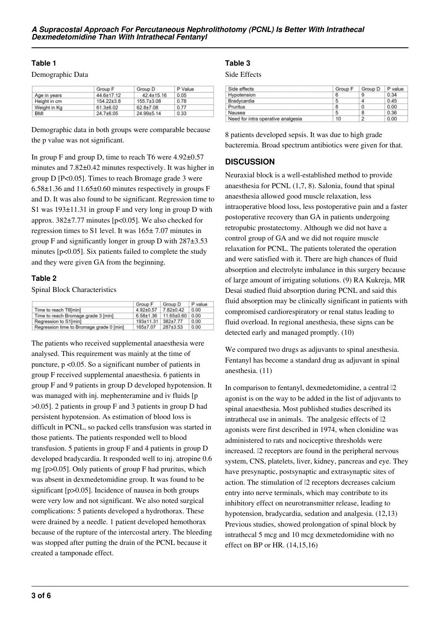#### **Table 1**

Demographic Data

|              | Group F          | Group D          | P Value |  |
|--------------|------------------|------------------|---------|--|
| Age in years | 44.6±17.12       | $42.4 \pm 15.16$ | 0.05    |  |
| Height in cm | $154.22 \pm 3.8$ | $155.7 + 3.08$   | 0.78    |  |
| Weight in Kg | $61.3 \pm 6.02$  | $62.8 + 7.08$    | 0.77    |  |
| <b>BMI</b>   | 24.7±6.05        | 24.99±5.14       | 0.33    |  |

Demographic data in both groups were comparable because the p value was not significant.

In group F and group D, time to reach T6 were 4.92±0.57 minutes and 7.82±0.42 minutes respectively. It was higher in group D [P<0.05]. Times to reach Bromage grade 3 were 6.58±1.36 and 11.65±0.60 minutes respectively in groups F and D. It was also found to be significant. Regression time to S1 was 193±11.31 in group F and very long in group D with approx. 382±7.77 minutes [p<0.05]. We also checked for regression times to S1 level. It was 165± 7.07 minutes in group F and significantly longer in group D with 287±3.53 minutes [p<0.05]. Six patients failed to complete the study and they were given GA from the beginning.

## **Table 2**

Spinal Block Characteristics

|                                          | Group F         | Group D                                   | P value |
|------------------------------------------|-----------------|-------------------------------------------|---------|
| Time to reach T6[min]                    | $4.92 \pm 0.57$ | 7.82±0.42                                 | 0.00    |
| Time to reach Bromage grade 3 [min]      |                 | $6.58 \pm 1.36$   11.65 $\pm$ 0.60   0.00 |         |
| Regression to S1[min]                    | 193±11.31       | 382+7.77                                  | 0.00    |
| Regression time to Bromage grade 0 [min] | 165+7.07        | 287±3.53                                  | 0.00    |

The patients who received supplemental anaesthesia were analysed. This requirement was mainly at the time of puncture, p <0.05. So a significant number of patients in group F received supplemental anaesthesia. 6 patients in group F and 9 patients in group D developed hypotension. It was managed with inj. mephenteramine and iv fluids [p >0.05]. 2 patients in group F and 3 patients in group D had persistent hypotension. As estimation of blood loss is difficult in PCNL, so packed cells transfusion was started in those patients. The patients responded well to blood transfusion. 5 patients in group F and 4 patients in group D developed bradycardia. It responded well to inj. atropine 0.6 mg [p>0.05]. Only patients of group F had pruritus, which was absent in dexmedetomidine group. It was found to be significant [p>0.05]. Incidence of nausea in both groups were very low and not significant. We also noted surgical complications: 5 patients developed a hydrothorax. These were drained by a needle. 1 patient developed hemothorax because of the rupture of the intercostal artery. The bleeding was stopped after putting the drain of the PCNL because it created a tamponade effect.

## **Table 3**

Side Effects

| Side effects                       | Group F | Group D | P value |
|------------------------------------|---------|---------|---------|
| Hypotension                        | 6       | 9       | 0.34    |
| Bradycardia                        | 5       | 4       | 0.45    |
| Pruritus                           | 8       | 0       | 0.00    |
| Nausea                             | 5       | 8       | 0.36    |
| Need for intra operative analgesia | 10      | 2       | 0.00    |

8 patients developed sepsis. It was due to high grade bacteremia. Broad spectrum antibiotics were given for that.

## **DISCUSSION**

Neuraxial block is a well-established method to provide anaesthesia for PCNL (1,7, 8). Salonia, found that spinal anaesthesia allowed good muscle relaxation, less intraoperative blood loss, less postoperative pain and a faster postoperative recovery than GA in patients undergoing retropubic prostatectomy. Although we did not have a control group of GA and we did not require muscle relaxation for PCNL. The patients tolerated the operation and were satisfied with it. There are high chances of fluid absorption and electrolyte imbalance in this surgery because of large amount of irrigating solutions. (9) RA Kukreja, MR Desai studied fluid absorption during PCNL and said this fluid absorption may be clinically significant in patients with compromised cardiorespiratory or renal status leading to fluid overload. In regional anesthesia, these signs can be detected early and managed promptly. (10)

We compared two drugs as adjuvants to spinal anesthesia. Fentanyl has become a standard drug as adjuvant in spinal anesthesia. (11)

In comparison to fentanyl, dexmedetomidine, a central  $\mathbb{I}2$ agonist is on the way to be added in the list of adjuvants to spinal anaesthesia. Most published studies described its intrathecal use in animals. The analgesic effects of  $\mathbb{I}2$ agonists were first described in 1974, when clonidine was administered to rats and nociceptive thresholds were increased. <sup>[2]</sup> receptors are found in the peripheral nervous system, CNS, platelets, liver, kidney, pancreas and eye. They have presynaptic, postsynaptic and extrasynaptic sites of action. The stimulation of  $\mathbb{I}2$  receptors decreases calcium entry into nerve terminals, which may contribute to its inhibitory effect on neurotransmitter release, leading to hypotension, bradycardia, sedation and analgesia. (12,13) Previous studies, showed prolongation of spinal block by intrathecal 5 mcg and 10 mcg dexmetedomidine with no effect on BP or HR. (14,15,16)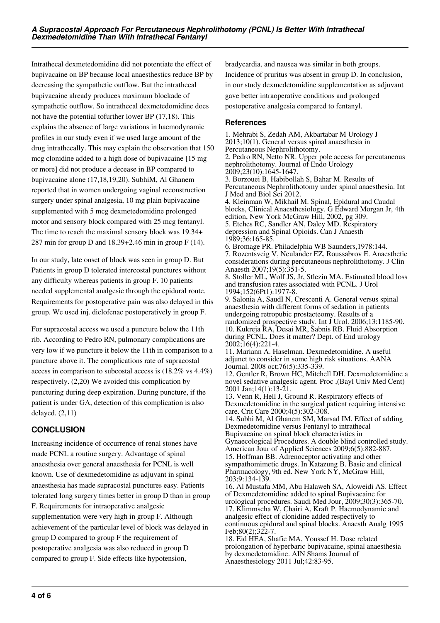Intrathecal dexmetedomidine did not potentiate the effect of bupivacaine on BP because local anaesthestics reduce BP by decreasing the sympathetic outflow. But the intrathecal bupivacaine already produces maximum blockade of sympathetic outflow. So intrathecal dexmetedomidine does not have the potential tofurther lower BP (17,18). This explains the absence of large variations in haemodynamic profiles in our study even if we used large amount of the drug intrathecally. This may explain the observation that 150 mcg clonidine added to a high dose of bupivacaine [15 mg or more] did not produce a decease in BP compared to bupivacaine alone (17,18,19,20). SubhiM, Al Ghanem reported that in women undergoing vaginal reconstruction surgery under spinal analgesia, 10 mg plain bupivacaine supplemented with 5 mcg dexmetedomidine prolonged motor and sensory block compared with 25 mcg fentanyl. The time to reach the maximal sensory block was 19.34+ 287 min for group D and 18.39+2.46 min in group F (14).

In our study, late onset of block was seen in group D. But Patients in group D tolerated intercostal punctures without any difficulty whereas patients in group F. 10 patients needed supplemental analgesic through the epidural route. Requirements for postoperative pain was also delayed in this group. We used inj. diclofenac postoperatively in group F.

For supracostal access we used a puncture below the 11th rib. According to Pedro RN, pulmonary complications are very low if we puncture it below the 11th in comparison to a puncture above it. The complications rate of supracostal access in comparison to subcostal access is (18.2% vs 4.4%) respectively. (2,20) We avoided this complication by puncturing during deep expiration. During puncture, if the patient is under GA, detection of this complication is also delayed. (2,11)

# **CONCLUSION**

Increasing incidence of occurrence of renal stones have made PCNL a routine surgery. Advantage of spinal anaesthesia over general anaesthesia for PCNL is well known. Use of dexmedetomidine as adjuvant in spinal anaesthesia has made supracostal punctures easy. Patients tolerated long surgery times better in group D than in group F. Requirements for intraoperative analgesic supplementation were very high in group F. Although achievement of the particular level of block was delayed in group D compared to group F the requirement of postoperative analgesia was also reduced in group D

compared to group F. Side effects like hypotension,

bradycardia, and nausea was similar in both groups. Incidence of pruritus was absent in group D. In conclusion, in our study dexmedetomidine supplementation as adjuvant gave better intraoperative conditions and prolonged postoperative analgesia compared to fentanyl.

## **References**

1. Mehrabi S, Zedah AM, Akbartabar M Urology J 2013;10(1). General versus spinal anaesthesia in Percutaneous Nephrolithotomy. 2. Pedro RN, Netto NR. Upper pole access for percutaneous nephrolithotomy. Journal of Endo Urology 2009;23(10):1645-1647. 3. Borzouei B, Habibollah S, Bahar M. Results of Percutaneous Nephrolithotomy under spinal anaesthesia. Int J Med and Biol Sci 2012. 4. Kleinman W, Mikhail M. Spinal, Epidural and Caudal blocks, Clinical Anaesthesiology. G Edward Morgan Jr, 4th edition, New York McGraw Hill, 2002, pg 309.

5. Etches RC, Sandler AN, Daley MD. Respiratory depression and Spinal Opioids. Can J Anaesth 1989;36:165-85.

6. Bromage PR. Philadelphia WB Saunders,1978:144. 7. Rozentsveig V, Neulander EZ, Roussabrov E. Anaesthetic considerations during percutaneous nephrolithotomy. J Clin Anaesth 2007;19(5):351-5.

8. Stoller ML, Wolf JS, Jr, Stlezin MA. Estimated blood loss and transfusion rates associated with PCNL. J Urol 1994;152(6Pt1):1977-8.

9. Salonia A, SaudI N, Crescenti A. General versus spinal anaesthesia with different forms of sedation in patients undergoing retropubic prostacteomy. Results of a randomized prospective study. Int J Urol. 2006;13:1185-90. 10. Kukreja RA, Desai MR, Sabnis RB. Fluid Absorption during PCNL. Does it matter? Dept. of End urology 2002;16(4):221-4.

11. Mariann A. Haselman. Dexmedetomidine. A useful adjunct to consider in some high risk situations. AANA Journal. 2008 oct;76(5):335-339.

12. Gentler R, Brown HC, Mitchell DH. Dexmedetomidine a novel sedative analgesic agent. Proc ,(Bayl Univ Med Cent) 2001 Jan;14(1):13-21.

13. Venn R, Hell J, Ground R. Respiratory effects of Dexmedetomidine in the surgical patient requiring intensive care. Crit Care 2000;4(5):302-308.

14. Subhi M, Al Ghanem SM, Marsad IM. Effect of adding Dexmedetomidine versus Fentanyl to intrathecal Bupivacaine on spinal block characteristics in Gynaecological Procedures. A double blind controlled study. American Jour of Applied Sciences 2009;6(5):882-887.

15. Hoffman BB. Adrenoceptor activating and other sympathomimetic drugs. In Katazung B. Basic and clinical Pharmacology, 9th ed. New York NY, McGraw Hill, 203;9:134-139.

16. Al Mustafa MM, Abu Halaweh SA, Aloweidi AS. Effect of Dexmedetomidine added to spinal Bupivacaine for urological procedures. Saudi Med Jour, 2009;30(3):365-70. 17. Klimmscha W, Chairi A, Kraft P. Haemodynamic and analgesic effect of clonidine added respectively to continuous epidural and spinal blocks. Anaesth Analg 1995 Feb:80(2):322-7.

18. Eid HEA, Shafie MA, Youssef H. Dose related prolongation of hyperbaric bupivacaine, spinal anaesthesia by dexmedetomidine. AIN Shams Journal of Anaesthesiology 2011 Jul;42:83-95.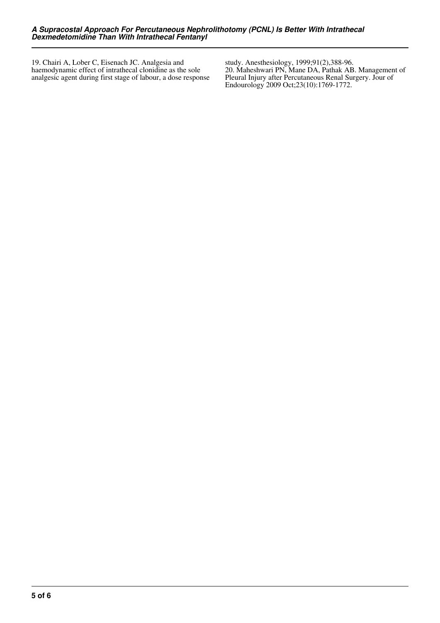19. Chairi A, Lober C, Eisenach JC. Analgesia and haemodynamic effect of intrathecal clonidine as the sole analgesic agent during first stage of labour, a dose response

study. Anesthesiology, 1999;91(2),388-96. 20. Maheshwari PN, Mane DA, Pathak AB. Management of Pleural Injury after Percutaneous Renal Surgery. Jour of Endourology 2009 Oct;23(10):1769-1772.